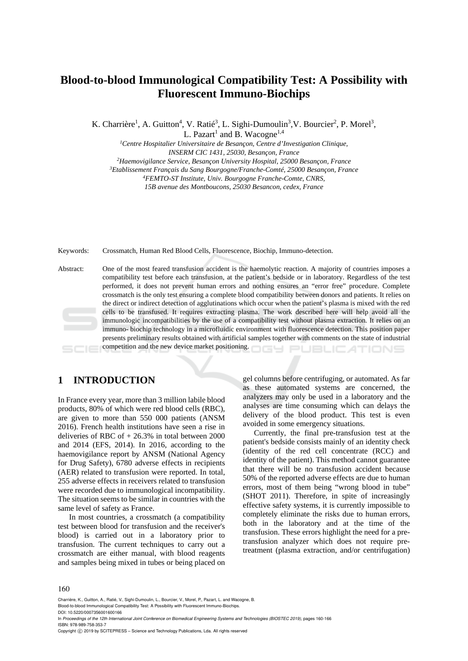# **Blood-to-blood Immunological Compatibility Test: A Possibility with Fluorescent Immuno-Biochips**

K. Charrière<sup>1</sup>, A. Guitton<sup>4</sup>, V. Ratié<sup>3</sup>, L. Sighi-Dumoulin<sup>3</sup>, V. Bourcier<sup>2</sup>, P. Morel<sup>3</sup>,

L. Pazart<sup>1</sup> and B. Wacogne<sup>1,4</sup>

*1Centre Hospitalier Universitaire de Besançon, Centre d'Investigation Clinique,* 

*INSERM CIC 1431, 25030, Besançon, France*<br><sup>2</sup>Haemovigilance Service, Besancon University Hospital, 25000 Besancon, France

*Haemovigilance Service, Besançon University Hospital, 25000 Besançon, France 3Etablissement Français du Sang Bourgogne/Franche-Comté, 25000 Besançon, France 4FEMTO-ST Institute, Univ. Bourgogne Franche-Comte, CNRS,* 

*15B avenue des Montboucons, 25030 Besancon, cedex, France* 

Keywords: Crossmatch, Human Red Blood Cells, Fluorescence, Biochip, Immuno-detection.

Abstract: One of the most feared transfusion accident is the haemolytic reaction. A majority of countries imposes a compatibility test before each transfusion, at the patient's bedside or in laboratory. Regardless of the test performed, it does not prevent human errors and nothing ensures an "error free" procedure. Complete crossmatch is the only test ensuring a complete blood compatibility between donors and patients. It relies on the direct or indirect detection of agglutinations which occur when the patient's plasma is mixed with the red cells to be transfused. It requires extracting plasma. The work described here will help avoid all the immunologic incompatibilities by the use of a compatibility test without plasma extraction. It relies on an immuno- biochip technology in a microfluidic environment with fluorescence detection. This position paper presents preliminary results obtained with artificial samples together with comments on the state of industrial competition and the new device market positioning. JBLIC ATIONS

**1 INTRODUCTION** 

In France every year, more than 3 million labile blood products, 80% of which were red blood cells (RBC), are given to more than 550 000 patients (ANSM 2016). French health institutions have seen a rise in deliveries of RBC of  $+26.3\%$  in total between 2000 and 2014 (EFS, 2014). In 2016, according to the haemovigilance report by ANSM (National Agency for Drug Safety), 6780 adverse effects in recipients (AER) related to transfusion were reported. In total, 255 adverse effects in receivers related to transfusion were recorded due to immunological incompatibility. The situation seems to be similar in countries with the same level of safety as France.

In most countries, a crossmatch (a compatibility test between blood for transfusion and the receiver's blood) is carried out in a laboratory prior to transfusion. The current techniques to carry out a crossmatch are either manual, with blood reagents and samples being mixed in tubes or being placed on gel columns before centrifuging, or automated. As far as these automated systems are concerned, the analyzers may only be used in a laboratory and the analyses are time consuming which can delays the delivery of the blood product. This test is even avoided in some emergency situations.

Currently, the final pre-transfusion test at the patient's bedside consists mainly of an identity check (identity of the red cell concentrate (RCC) and identity of the patient). This method cannot guarantee that there will be no transfusion accident because 50% of the reported adverse effects are due to human errors, most of them being "wrong blood in tube" (SHOT 2011). Therefore, in spite of increasingly effective safety systems, it is currently impossible to completely eliminate the risks due to human errors, both in the laboratory and at the time of the transfusion. These errors highlight the need for a pretransfusion analyzer which does not require pretreatment (plasma extraction, and/or centrifugation)

#### 160

Charrière, K., Guitton, A., Ratié, V., Sighi-Dumoulin, L., Bourcier, V., Morel, P., Pazart, L. and Wacogne, B. Blood-to-blood Immunological Compatibility Test: A Possibility with Fluorescent Immuno-Biochips.

DOI: 10.5220/0007356001600166

In *Proceedings of the 12th International Joint Conference on Biomedical Engineering Systems and Technologies (BIOSTEC 2019)*, pages 160-166 ISBN: 978-989-758-353-7

Copyright © 2019 by SCITEPRESS - Science and Technology Publications, Lda. All rights reserved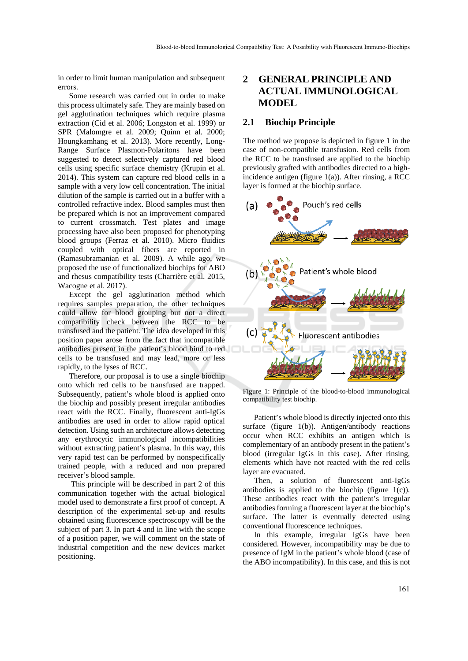in order to limit human manipulation and subsequent errors.

Some research was carried out in order to make this process ultimately safe. They are mainly based on gel agglutination techniques which require plasma extraction (Cid et al. 2006; Longston et al. 1999) or SPR (Malomgre et al. 2009; Quinn et al. 2000; Houngkamhang et al. 2013). More recently, Long-Range Surface Plasmon-Polaritons have been suggested to detect selectively captured red blood cells using specific surface chemistry (Krupin et al. 2014). This system can capture red blood cells in a sample with a very low cell concentration. The initial dilution of the sample is carried out in a buffer with a controlled refractive index. Blood samples must then be prepared which is not an improvement compared to current crossmatch. Test plates and image processing have also been proposed for phenotyping blood groups (Ferraz et al. 2010). Micro fluidics coupled with optical fibers are reported in (Ramasubramanian et al. 2009). A while ago, we proposed the use of functionalized biochips for ABO and rhesus compatibility tests (Charrière et al. 2015, Wacogne et al. 2017).

Except the gel agglutination method which requires samples preparation, the other techniques could allow for blood grouping but not a direct compatibility check between the RCC to be transfused and the patient. The idea developed in this position paper arose from the fact that incompatible antibodies present in the patient's blood bind to red cells to be transfused and may lead, more or less rapidly, to the lyses of RCC.

Therefore, our proposal is to use a single biochip onto which red cells to be transfused are trapped. Subsequently, patient's whole blood is applied onto the biochip and possibly present irregular antibodies react with the RCC. Finally, fluorescent anti-IgGs antibodies are used in order to allow rapid optical detection. Using such an architecture allows detecting any erythrocytic immunological incompatibilities without extracting patient's plasma. In this way, this very rapid test can be performed by nonspecifically trained people, with a reduced and non prepared receiver's blood sample.

 This principle will be described in part 2 of this communication together with the actual biological model used to demonstrate a first proof of concept. A description of the experimental set-up and results obtained using fluorescence spectroscopy will be the subject of part 3. In part 4 and in line with the scope of a position paper, we will comment on the state of industrial competition and the new devices market positioning.

## **2 GENERAL PRINCIPLE AND ACTUAL IMMUNOLOGICAL MODEL**

### **2.1 Biochip Principle**

The method we propose is depicted in figure 1 in the case of non-compatible transfusion. Red cells from the RCC to be transfused are applied to the biochip previously grafted with antibodies directed to a highincidence antigen (figure  $1(a)$ ). After rinsing, a RCC layer is formed at the biochip surface.



Figure 1: Principle of the blood-to-blood immunological compatibility test biochip.

Patient's whole blood is directly injected onto this surface (figure  $1(b)$ ). Antigen/antibody reactions occur when RCC exhibits an antigen which is complementary of an antibody present in the patient's blood (irregular IgGs in this case). After rinsing, elements which have not reacted with the red cells layer are evacuated.

Then, a solution of fluorescent anti-IgGs antibodies is applied to the biochip (figure  $1(c)$ ). These antibodies react with the patient's irregular antibodies forming a fluorescent layer at the biochip's surface. The latter is eventually detected using conventional fluorescence techniques.

In this example, irregular IgGs have been considered. However, incompatibility may be due to presence of IgM in the patient's whole blood (case of the ABO incompatibility). In this case, and this is not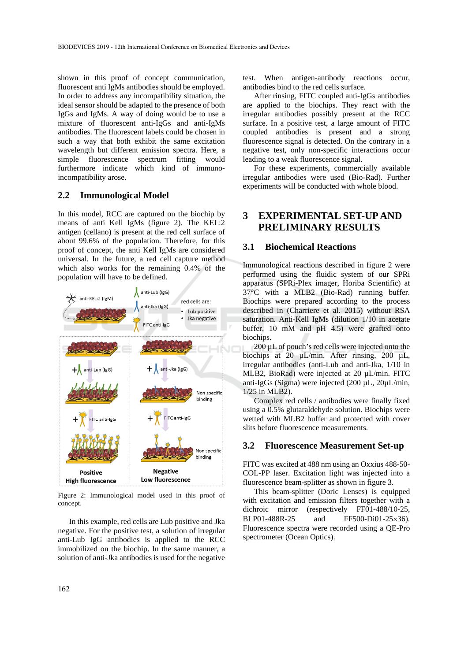shown in this proof of concept communication, fluorescent anti IgMs antibodies should be employed. In order to address any incompatibility situation, the ideal sensor should be adapted to the presence of both IgGs and IgMs. A way of doing would be to use a mixture of fluorescent anti-IgGs and anti-IgMs antibodies. The fluorescent labels could be chosen in such a way that both exhibit the same excitation wavelength but different emission spectra. Here, a simple fluorescence spectrum fitting would furthermore indicate which kind of immunoincompatibility arose.

### **2.2 Immunological Model**

In this model, RCC are captured on the biochip by means of anti Kell IgMs (figure 2). The KEL:2 antigen (cellano) is present at the red cell surface of about 99.6% of the population. Therefore, for this proof of concept, the anti Kell IgMs are considered universal. In the future, a red cell capture method which also works for the remaining 0.4% of the population will have to be defined.



Figure 2: Immunological model used in this proof of concept.

In this example, red cells are Lub positive and Jka negative. For the positive test, a solution of irregular anti-Lub IgG antibodies is applied to the RCC immobilized on the biochip. In the same manner, a solution of anti-Jka antibodies is used for the negative

test. When antigen-antibody reactions occur, antibodies bind to the red cells surface.

After rinsing, FITC coupled anti-IgGs antibodies are applied to the biochips. They react with the irregular antibodies possibly present at the RCC surface. In a positive test, a large amount of FITC coupled antibodies is present and a strong fluorescence signal is detected. On the contrary in a negative test, only non-specific interactions occur leading to a weak fluorescence signal.

For these experiments, commercially available irregular antibodies were used (Bio-Rad). Further experiments will be conducted with whole blood.

## **3 EXPERIMENTAL SET-UP AND PRELIMINARY RESULTS**

### **3.1 Biochemical Reactions**

Immunological reactions described in figure 2 were performed using the fluidic system of our SPRi apparatus (SPRi-Plex imager, Horiba Scientific) at 37°C with a MLB2 (Bio-Rad) running buffer. Biochips were prepared according to the process described in (Charriere et al. 2015) without RSA saturation. Anti-Kell IgMs (dilution 1/10 in acetate buffer, 10 mM and pH 4.5) were grafted onto biochips.

200 µL of pouch's red cells were injected onto the biochips at 20 µL/min. After rinsing, 200 µL, irregular antibodies (anti-Lub and anti-Jka, 1/10 in MLB2, BioRad) were injected at 20 µL/min. FITC anti-IgGs (Sigma) were injected (200 µL, 20µL/min, 1/25 in MLB2).

Complex red cells / antibodies were finally fixed using a 0.5% glutaraldehyde solution. Biochips were wetted with MLB2 buffer and protected with cover slits before fluorescence measurements.

#### **3.2 Fluorescence Measurement Set-up**

FITC was excited at 488 nm using an Oxxius 488-50- COL-PP laser. Excitation light was injected into a fluorescence beam-splitter as shown in figure 3.

This beam-splitter (Doric Lenses) is equipped with excitation and emission filters together with a dichroic mirror (respectively FF01-488/10-25, BLP01-488R-25 and FF500-Di01-25 $\times$ 36). Fluorescence spectra were recorded using a QE-Pro spectrometer (Ocean Optics).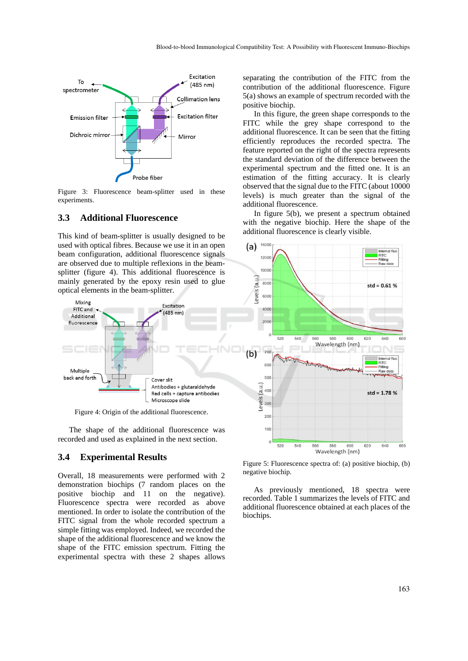

Figure 3: Fluorescence beam-splitter used in these experiments.

#### **3.3 Additional Fluorescence**

This kind of beam-splitter is usually designed to be used with optical fibres. Because we use it in an open beam configuration, additional fluorescence signals are observed due to multiple reflexions in the beamsplitter (figure 4). This additional fluorescence is mainly generated by the epoxy resin used to glue optical elements in the beam-splitter.



Figure 4: Origin of the additional fluorescence.

The shape of the additional fluorescence was recorded and used as explained in the next section.

#### **3.4 Experimental Results**

Overall, 18 measurements were performed with 2 demonstration biochips (7 random places on the positive biochip and 11 on the negative). Fluorescence spectra were recorded as above mentioned. In order to isolate the contribution of the FITC signal from the whole recorded spectrum a simple fitting was employed. Indeed, we recorded the shape of the additional fluorescence and we know the shape of the FITC emission spectrum. Fitting the experimental spectra with these 2 shapes allows

separating the contribution of the FITC from the contribution of the additional fluorescence. Figure 5(a) shows an example of spectrum recorded with the positive biochip.

In this figure, the green shape corresponds to the FITC while the grey shape correspond to the additional fluorescence. It can be seen that the fitting efficiently reproduces the recorded spectra. The feature reported on the right of the spectra represents the standard deviation of the difference between the experimental spectrum and the fitted one. It is an estimation of the fitting accuracy. It is clearly observed that the signal due to the FITC (about 10000 levels) is much greater than the signal of the additional fluorescence.

In figure 5(b), we present a spectrum obtained with the negative biochip. Here the shape of the additional fluorescence is clearly visible.



Figure 5: Fluorescence spectra of: (a) positive biochip, (b) negative biochip.

As previously mentioned, 18 spectra were recorded. Table 1 summarizes the levels of FITC and additional fluorescence obtained at each places of the biochips.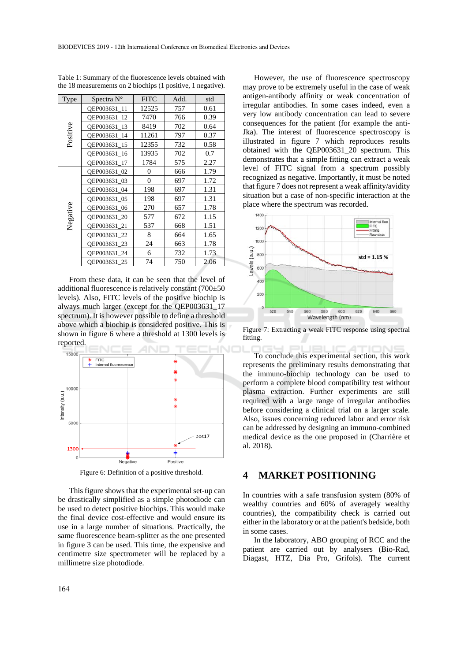| Type     | Spectra $N^{\circ}$ | <b>FITC</b> | Add. | std  |
|----------|---------------------|-------------|------|------|
| Positive | OEP003631 11        | 12525       | 757  | 0.61 |
|          | OEP003631 12        | 7470        | 766  | 0.39 |
|          | QEP003631_13        | 8419        | 702  | 0.64 |
|          | OEP003631 14        | 11261       | 797  | 0.37 |
|          | OEP003631 15        | 12355       | 732  | 0.58 |
|          | OEP003631 16        | 13935       | 702  | 0.7  |
|          | OEP003631 17        | 1784        | 575  | 2.27 |
| Negative | OEP003631 02        | 0           | 666  | 1.79 |
|          | QEP003631_03        | $\theta$    | 697  | 1.72 |
|          | OEP003631 04        | 198         | 697  | 1.31 |
|          | QEP003631_05        | 198         | 697  | 1.31 |
|          | OEP003631 06        | 270         | 657  | 1.78 |
|          | QEP003631_20        | 577         | 672  | 1.15 |
|          | OEP003631 21        | 537         | 668  | 1.51 |
|          | QEP003631_22        | 8           | 664  | 1.65 |
|          | QEP003631_23        | 24          | 663  | 1.78 |
|          | QEP003631_24        | 6           | 732  | 1.73 |
|          | OEP003631 25        | 74          | 750  | 2.06 |

Table 1: Summary of the fluorescence levels obtained with the 18 measurements on 2 biochips (1 positive, 1 negative).

From these data, it can be seen that the level of additional fluorescence is relatively constant (700±50 levels). Also, FITC levels of the positive biochip is always much larger (except for the QEP003631\_17 spectrum). It is however possible to define a threshold above which a biochip is considered positive. This is shown in figure 6 where a threshold at 1300 levels is reported.



Figure 6: Definition of a positive threshold.

This figure shows that the experimental set-up can be drastically simplified as a simple photodiode can be used to detect positive biochips. This would make the final device cost-effective and would ensure its use in a large number of situations. Practically, the same fluorescence beam-splitter as the one presented in figure 3 can be used. This time, the expensive and centimetre size spectrometer will be replaced by a millimetre size photodiode.

However, the use of fluorescence spectroscopy may prove to be extremely useful in the case of weak antigen-antibody affinity or weak concentration of irregular antibodies. In some cases indeed, even a very low antibody concentration can lead to severe consequences for the patient (for example the anti-Jka). The interest of fluorescence spectroscopy is illustrated in figure 7 which reproduces results obtained with the QEP003631\_20 spectrum. This demonstrates that a simple fitting can extract a weak level of FITC signal from a spectrum possibly recognized as negative. Importantly, it must be noted that figure 7 does not represent a weak affinity/avidity situation but a case of non-specific interaction at the place where the spectrum was recorded.



Figure 7: Extracting a weak FITC response using spectral fitting.

To conclude this experimental section, this work represents the preliminary results demonstrating that the immuno-biochip technology can be used to perform a complete blood compatibility test without plasma extraction. Further experiments are still required with a large range of irregular antibodies before considering a clinical trial on a larger scale. Also, issues concerning reduced labor and error risk can be addressed by designing an immuno-combined medical device as the one proposed in (Charrière et al. 2018).

#### **4 MARKET POSITIONING**

In countries with a safe transfusion system (80% of wealthy countries and 60% of averagely wealthy countries), the compatibility check is carried out either in the laboratory or at the patient's bedside, both in some cases.

In the laboratory, ABO grouping of RCC and the patient are carried out by analysers (Bio-Rad, Diagast, HTZ, Dia Pro, Grifols). The current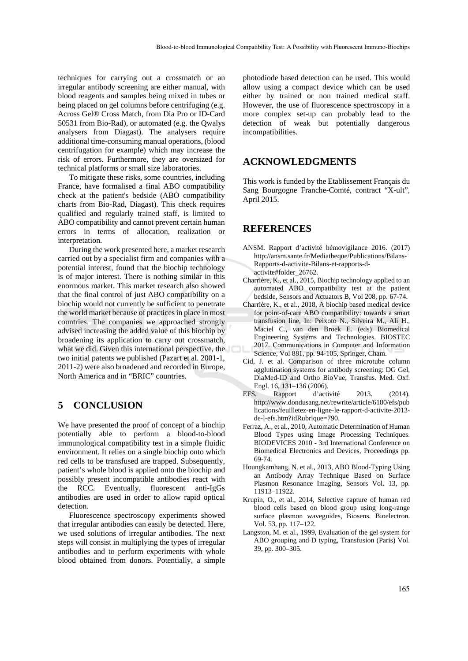techniques for carrying out a crossmatch or an irregular antibody screening are either manual, with blood reagents and samples being mixed in tubes or being placed on gel columns before centrifuging (e.g. Across Gel® Cross Match, from Dia Pro or ID-Card 50531 from Bio-Rad), or automated (e.g. the Qwalys analysers from Diagast). The analysers require additional time-consuming manual operations, (blood centrifugation for example) which may increase the risk of errors. Furthermore, they are oversized for technical platforms or small size laboratories.

To mitigate these risks, some countries, including France, have formalised a final ABO compatibility check at the patient's bedside (ABO compatibility charts from Bio-Rad, Diagast). This check requires qualified and regularly trained staff, is limited to ABO compatibility and cannot prevent certain human errors in terms of allocation, realization or interpretation.

During the work presented here, a market research carried out by a specialist firm and companies with a potential interest, found that the biochip technology is of major interest. There is nothing similar in this enormous market. This market research also showed that the final control of just ABO compatibility on a biochip would not currently be sufficient to penetrate the world market because of practices in place in most countries. The companies we approached strongly advised increasing the added value of this biochip by broadening its application to carry out crossmatch, what we did. Given this international perspective, the two initial patents we published (Pazart et al. 2001-1, 2011-2) were also broadened and recorded in Europe, North America and in "BRIC" countries.

## **5 CONCLUSION**

We have presented the proof of concept of a biochip potentially able to perform a blood-to-blood immunological compatibility test in a simple fluidic environment. It relies on a single biochip onto which red cells to be transfused are trapped. Subsequently, patient's whole blood is applied onto the biochip and possibly present incompatible antibodies react with the RCC. Eventually, fluorescent anti-IgGs antibodies are used in order to allow rapid optical detection.

Fluorescence spectroscopy experiments showed that irregular antibodies can easily be detected. Here, we used solutions of irregular antibodies. The next steps will consist in multiplying the types of irregular antibodies and to perform experiments with whole blood obtained from donors. Potentially, a simple

photodiode based detection can be used. This would allow using a compact device which can be used either by trained or non trained medical staff. However, the use of fluorescence spectroscopy in a more complex set-up can probably lead to the detection of weak but potentially dangerous incompatibilities.

## **ACKNOWLEDGMENTS**

This work is funded by the Etablissement Français du Sang Bourgogne Franche-Comté, contract "X-ult", April 2015.

## **REFERENCES**

- ANSM. Rapport d'activité hémovigilance 2016. (2017) http://ansm.sante.fr/Mediatheque/Publications/Bilans-Rapports-d-activite-Bilans-et-rapports-dactivite#folder\_26762.
- Charrière, K., et al., 2015, Biochip technology applied to an automated ABO compatibility test at the patient bedside, Sensors and Actuators B, Vol 208, pp. 67-74.
- Charrière, K., et al., 2018, A biochip based medical device for point-of-care ABO compatibility: towards a smart transfusion line, In: Peixoto N., Silveira M., Ali H., Maciel C., van den Broek E. (eds) Biomedical Engineering Systems and Technologies. BIOSTEC 2017. Communications in Computer and Information Science, Vol 881, pp. 94-105, Springer, Cham.
- Cid, J. et al. Comparison of three microtube column agglutination systems for antibody screening: DG Gel, DiaMed-ID and Ortho BioVue, Transfus. Med. Oxf. Engl. 16, 131–136 (2006).
- EFS. Rapport d'activité 2013. (2014). http://www.dondusang.net/rewrite/article/6180/efs/pub lications/feuilletez-en-ligne-le-rapport-d-activite-2013 de-l-efs.htm?idRubrique=790.
- Ferraz, A., et al., 2010, Automatic Determination of Human Blood Types using Image Processing Techniques. BIODEVICES 2010 - 3rd International Conference on Biomedical Electronics and Devices, Proceedings pp. 69-74.
- Houngkamhang, N. et al., 2013, ABO Blood-Typing Using an Antibody Array Technique Based on Surface Plasmon Resonance Imaging, Sensors Vol. 13, pp. 11913–11922.
- Krupin, O., et al., 2014, Selective capture of human red blood cells based on blood group using long-range surface plasmon waveguides, Biosens. Bioelectron. Vol. 53, pp. 117–122.
- Langston, M. et al., 1999, Evaluation of the gel system for ABO grouping and D typing, Transfusion (Paris) Vol. 39, pp. 300–305.